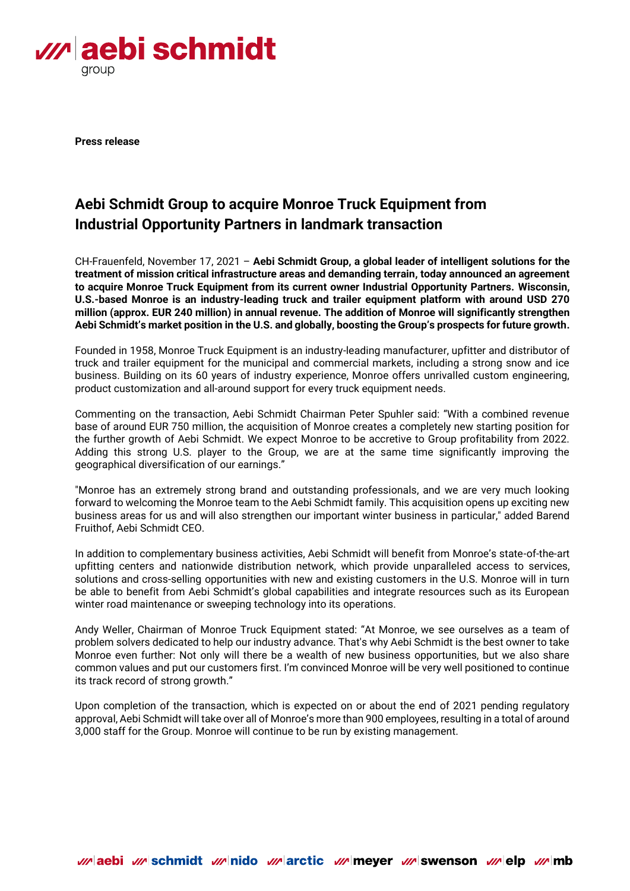

**Press release**

# **Aebi Schmidt Group to acquire Monroe Truck Equipment from Industrial Opportunity Partners in landmark transaction**

CH-Frauenfeld, November 17, 2021 – **Aebi Schmidt Group, a global leader of intelligent solutions for the treatment of mission critical infrastructure areas and demanding terrain, today announced an agreement to acquire Monroe Truck Equipment from its current owner Industrial Opportunity Partners. Wisconsin, U.S.-based Monroe is an industry-leading truck and trailer equipment platform with around USD 270 million (approx. EUR 240 million) in annual revenue. The addition of Monroe will significantly strengthen Aebi Schmidt's market position in the U.S. and globally, boosting the Group's prospects for future growth.**

Founded in 1958, Monroe Truck Equipment is an industry-leading manufacturer, upfitter and distributor of truck and trailer equipment for the municipal and commercial markets, including a strong snow and ice business. Building on its 60 years of industry experience, Monroe offers unrivalled custom engineering, product customization and all-around support for every truck equipment needs.

Commenting on the transaction, Aebi Schmidt Chairman Peter Spuhler said: "With a combined revenue base of around EUR 750 million, the acquisition of Monroe creates a completely new starting position for the further growth of Aebi Schmidt. We expect Monroe to be accretive to Group profitability from 2022. Adding this strong U.S. player to the Group, we are at the same time significantly improving the geographical diversification of our earnings."

"Monroe has an extremely strong brand and outstanding professionals, and we are very much looking forward to welcoming the Monroe team to the Aebi Schmidt family. This acquisition opens up exciting new business areas for us and will also strengthen our important winter business in particular," added Barend Fruithof, Aebi Schmidt CEO.

In addition to complementary business activities, Aebi Schmidt will benefit from Monroe's state-of-the-art upfitting centers and nationwide distribution network, which provide unparalleled access to services, solutions and cross-selling opportunities with new and existing customers in the U.S. Monroe will in turn be able to benefit from Aebi Schmidt's global capabilities and integrate resources such as its European winter road maintenance or sweeping technology into its operations.

Andy Weller, Chairman of Monroe Truck Equipment stated: "At Monroe, we see ourselves as a team of problem solvers dedicated to help our industry advance. That's why Aebi Schmidt is the best owner to take Monroe even further: Not only will there be a wealth of new business opportunities, but we also share common values and put our customers first. I'm convinced Monroe will be very well positioned to continue its track record of strong growth."

Upon completion of the transaction, which is expected on or about the end of 2021 pending regulatory approval, Aebi Schmidt will take over all of Monroe's more than 900 employees, resulting in a total of around 3,000 staff for the Group. Monroe will continue to be run by existing management.